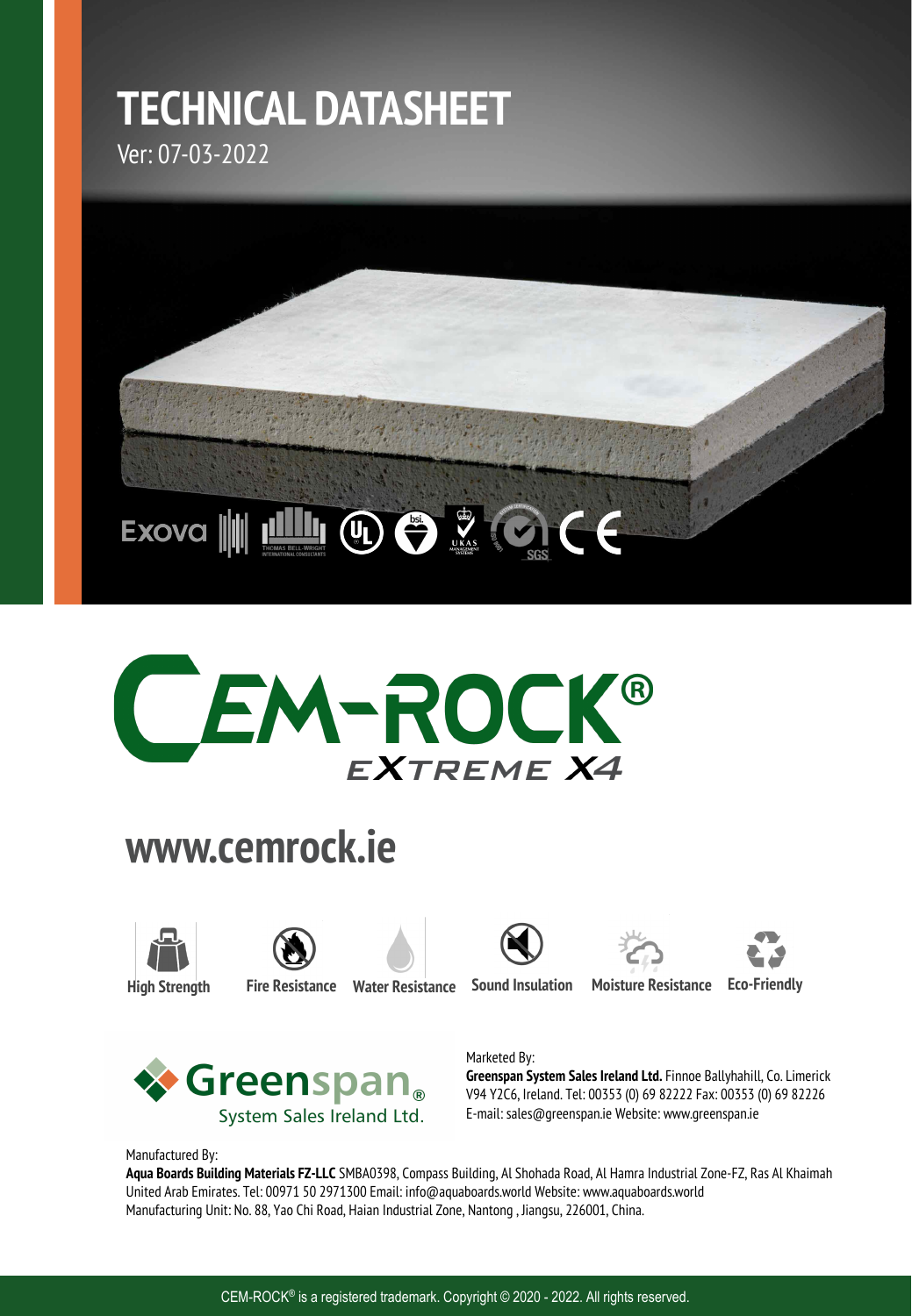# **TECHNICAL DATASHEET**

Ver: 07-03-2022





# **www.cemrock.ie**













**High Strength Fire Resistance Water Resistance Sound Insulation Moisture Resistance Eco-Friendly**



### Marketed By:

**Greenspan System Sales Ireland Ltd.** Finnoe Ballyhahill, Co. Limerick V94 Y2C6, Ireland. Tel: 00353 (0) 69 82222 Fax: 00353 (0) 69 82226 E-mail: sales@greenspan.ie Website: www.greenspan.ie

Manufactured By:

**Aqua Boards Building Materials FZ-LLC** SMBA0398, Compass Building, Al Shohada Road, Al Hamra Industrial Zone-FZ, Ras Al Khaimah United Arab Emirates. Tel: 00971 50 2971300 Email: info@aquaboards.world Website: www.aquaboards.world Manufacturing Unit: No. 88, Yao Chi Road, Haian Industrial Zone, Nantong , Jiangsu, 226001, China.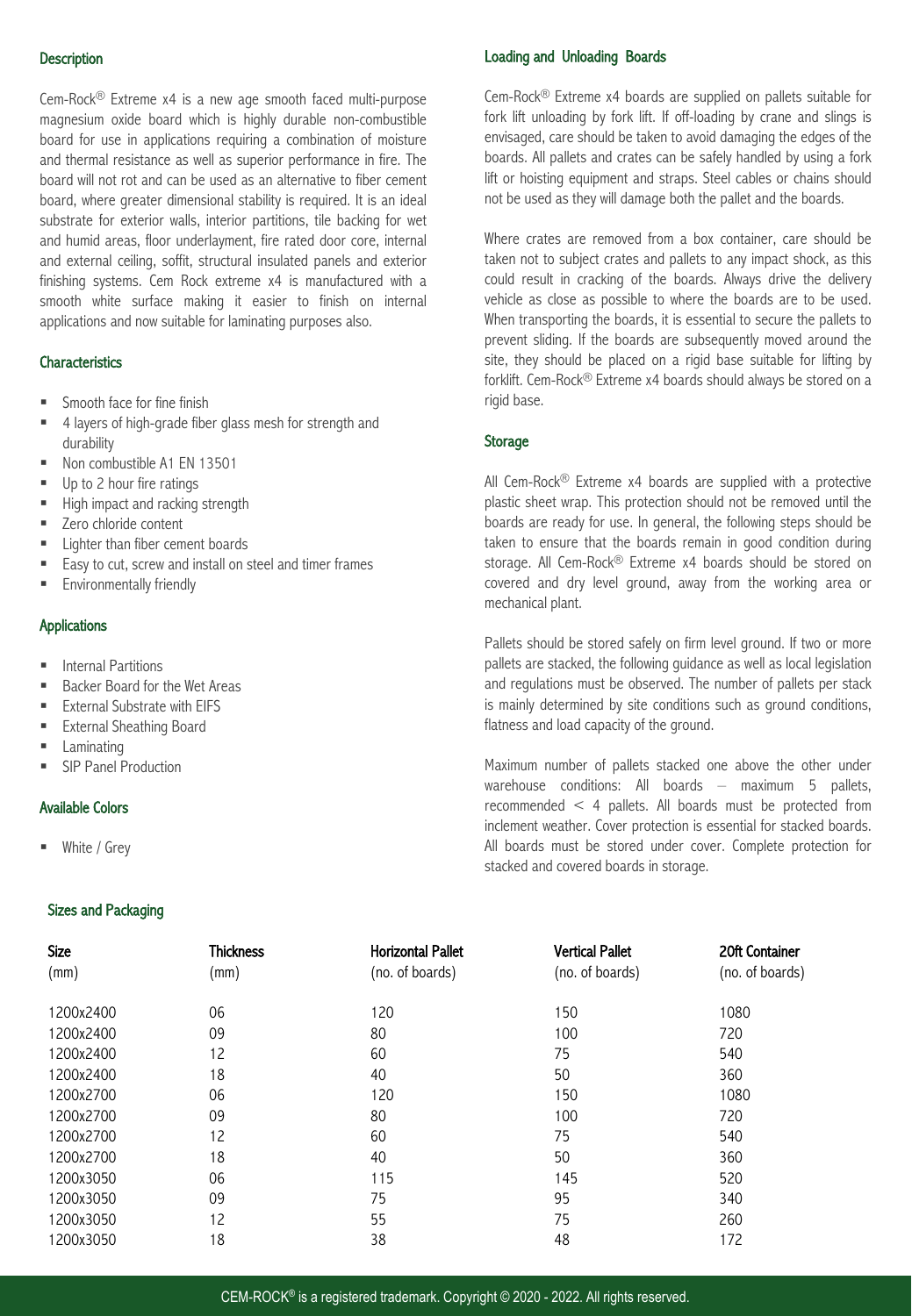#### **Description**

Cem-Rock® Extreme x4 is a new age smooth faced multi-purpose magnesium oxide board which is highly durable non-combustible board for use in applications requiring a combination of moisture and thermal resistance as well as superior performance in fire. The board will not rot and can be used as an alternative to fiber cement board, where greater dimensional stability is required. It is an ideal substrate for exterior walls, interior partitions, tile backing for wet and humid areas, floor underlayment, fire rated door core, internal and external ceiling, soffit, structural insulated panels and exterior finishing systems. Cem Rock extreme x4 is manufactured with a smooth white surface making it easier to finish on internal applications and now suitable for laminating purposes also.

#### **Characteristics**

- § Smooth face for fine finish
- 4 layers of high-grade fiber glass mesh for strength and durability
- Non combustible A1 EN 13501
- Up to 2 hour fire ratings
- High impact and racking strength
- Zero chloride content
- Lighter than fiber cement boards
- Easy to cut, screw and install on steel and timer frames
- **E** Environmentally friendly

#### Applications

- Internal Partitions
- Backer Board for the Wet Areas
- § External Substrate with EIFS
- External Sheathing Board
- **Laminating**
- SIP Panel Production

#### Available Colors

White / Grey

#### Sizes and Packaging

#### Loading and Unloading Boards

Cem-Rock® Extreme x4 boards are supplied on pallets suitable for fork lift unloading by fork lift. If off-loading by crane and slings is envisaged, care should be taken to avoid damaging the edges of the boards. All pallets and crates can be safely handled by using a fork lift or hoisting equipment and straps. Steel cables or chains should not be used as they will damage both the pallet and the boards.

Where crates are removed from a box container, care should be taken not to subject crates and pallets to any impact shock, as this could result in cracking of the boards. Always drive the delivery vehicle as close as possible to where the boards are to be used. When transporting the boards, it is essential to secure the pallets to prevent sliding. If the boards are subsequently moved around the site, they should be placed on a rigid base suitable for lifting by forklift. Cem-Rock® Extreme x4 boards should always be stored on a rigid base.

#### Storage

All Cem-Rock® Extreme x4 boards are supplied with a protective plastic sheet wrap. This protection should not be removed until the boards are ready for use. In general, the following steps should be taken to ensure that the boards remain in good condition during storage. All Cem-Rock® Extreme x4 boards should be stored on covered and dry level ground, away from the working area or mechanical plant.

Pallets should be stored safely on firm level ground. If two or more pallets are stacked, the following guidance as well as local legislation and regulations must be observed. The number of pallets per stack is mainly determined by site conditions such as ground conditions, flatness and load capacity of the ground.

Maximum number of pallets stacked one above the other under warehouse conditions: All boards – maximum 5 pallets, recommended < 4 pallets. All boards must be protected from inclement weather. Cover protection is essential for stacked boards. All boards must be stored under cover. Complete protection for stacked and covered boards in storage.

| Size<br>(mm) | <b>Thickness</b><br>(mm) | <b>Horizontal Pallet</b><br>(no. of boards) | <b>Vertical Pallet</b><br>(no. of boards) | 20ft Container<br>(no. of boards) |
|--------------|--------------------------|---------------------------------------------|-------------------------------------------|-----------------------------------|
|              |                          |                                             |                                           |                                   |
| 1200x2400    | 09                       | 80                                          | 100                                       | 720                               |
| 1200x2400    | 12                       | 60                                          | 75                                        | 540                               |
| 1200x2400    | 18                       | 40                                          | 50                                        | 360                               |
| 1200x2700    | 06                       | 120                                         | 150                                       | 1080                              |
| 1200x2700    | 09                       | 80                                          | 100                                       | 720                               |
| 1200x2700    | 12                       | 60                                          | 75                                        | 540                               |
| 1200x2700    | 18                       | 40                                          | 50                                        | 360                               |
| 1200x3050    | 06                       | 115                                         | 145                                       | 520                               |
| 1200x3050    | 09                       | 75                                          | 95                                        | 340                               |
| 1200x3050    | 12                       | 55                                          | 75                                        | 260                               |
| 1200x3050    | 18                       | 38                                          | 48                                        | 172                               |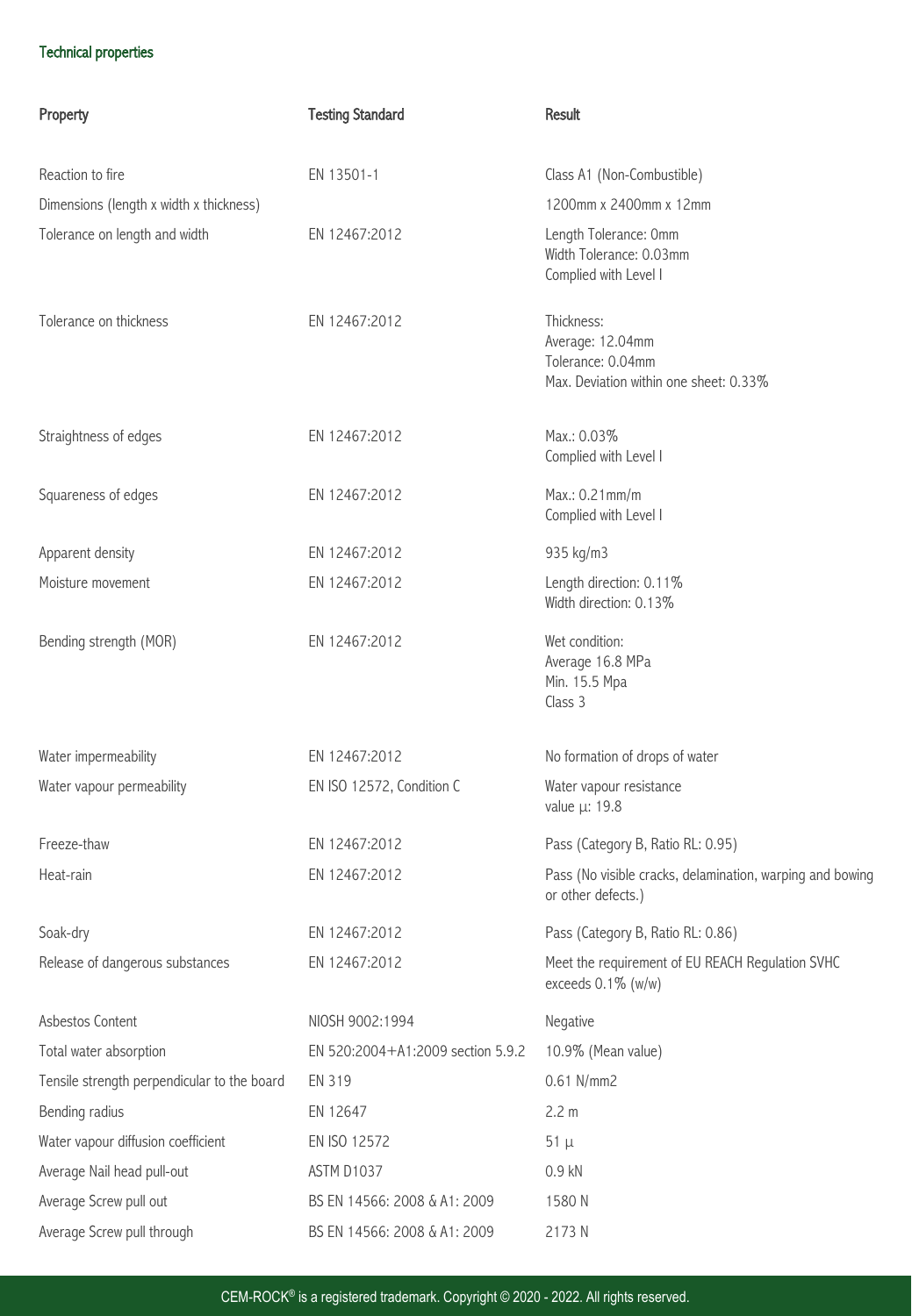# Technical properties

| Property                                    | <b>Testing Standard</b>           | Result                                                                                        |
|---------------------------------------------|-----------------------------------|-----------------------------------------------------------------------------------------------|
|                                             |                                   |                                                                                               |
| Reaction to fire                            | EN 13501-1                        | Class A1 (Non-Combustible)                                                                    |
| Dimensions (length x width x thickness)     |                                   | 1200mm x 2400mm x 12mm                                                                        |
| Tolerance on length and width               | EN 12467:2012                     | Length Tolerance: Omm<br>Width Tolerance: 0.03mm<br>Complied with Level I                     |
| Tolerance on thickness                      | EN 12467:2012                     | Thickness:<br>Average: 12.04mm<br>Tolerance: 0.04mm<br>Max. Deviation within one sheet: 0.33% |
| Straightness of edges                       | EN 12467:2012                     | Max.: 0.03%<br>Complied with Level I                                                          |
| Squareness of edges                         | EN 12467:2012                     | Max.: 0.21mm/m<br>Complied with Level I                                                       |
| Apparent density                            | EN 12467:2012                     | 935 kg/m3                                                                                     |
| Moisture movement                           | EN 12467:2012                     | Length direction: 0.11%<br>Width direction: 0.13%                                             |
| Bending strength (MOR)                      | EN 12467:2012                     | Wet condition:<br>Average 16.8 MPa<br>Min. 15.5 Mpa<br>Class 3                                |
| Water impermeability                        | EN 12467:2012                     | No formation of drops of water                                                                |
| Water vapour permeability                   | EN ISO 12572, Condition C         | Water vapour resistance<br>value μ: 19.8                                                      |
| Freeze-thaw                                 | EN 12467:2012                     | Pass (Category B, Ratio RL: 0.95)                                                             |
| Heat-rain                                   | EN 12467:2012                     | Pass (No visible cracks, delamination, warping and bowing<br>or other defects.)               |
| Soak-dry                                    | EN 12467:2012                     | Pass (Category B, Ratio RL: 0.86)                                                             |
| Release of dangerous substances             | EN 12467:2012                     | Meet the requirement of EU REACH Regulation SVHC<br>exceeds $0.1\%$ (w/w)                     |
| Asbestos Content                            | NIOSH 9002:1994                   | Negative                                                                                      |
| Total water absorption                      | EN 520:2004+A1:2009 section 5.9.2 | 10.9% (Mean value)                                                                            |
| Tensile strength perpendicular to the board | EN 319                            | 0.61 N/mm2                                                                                    |
| Bending radius                              | EN 12647                          | 2.2 m                                                                                         |
| Water vapour diffusion coefficient          | EN ISO 12572                      | $51 \mu$                                                                                      |
| Average Nail head pull-out                  | ASTM D1037                        | 0.9 kN                                                                                        |
| Average Screw pull out                      | BS EN 14566: 2008 & A1: 2009      | 1580N                                                                                         |
| Average Screw pull through                  | BS EN 14566: 2008 & A1: 2009      | 2173N                                                                                         |